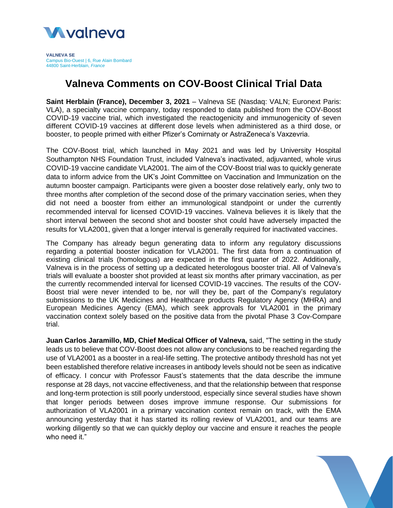

**VALNEVA SE** Campus Bio-Ouest | 6, Rue Alain Bombard 44800 Saint-Herblain, *France*

# **Valneva Comments on COV-Boost Clinical Trial Data**

**Saint Herblain (France), December 3, 2021** – Valneva SE (Nasdaq: VALN; Euronext Paris: VLA), a specialty vaccine company, today responded to data published from the COV-Boost COVID-19 vaccine trial, which investigated the reactogenicity and immunogenicity of seven different COVID-19 vaccines at different dose levels when administered as a third dose, or booster, to people primed with either Pfizer's Comirnaty or AstraZeneca's Vaxzevria.

The COV-Boost trial, which launched in May 2021 and was led by University Hospital Southampton NHS Foundation Trust, included Valneva's inactivated, adjuvanted, whole virus COVID-19 vaccine candidate VLA2001. The aim of the COV-Boost trial was to quickly generate data to inform advice from the UK's Joint Committee on Vaccination and Immunization on the autumn booster campaign. Participants were given a booster dose relatively early, only two to three months after completion of the second dose of the primary vaccination series, when they did not need a booster from either an immunological standpoint or under the currently recommended interval for licensed COVID-19 vaccines. Valneva believes it is likely that the short interval between the second shot and booster shot could have adversely impacted the results for VLA2001, given that a longer interval is generally required for inactivated vaccines.

The Company has already begun generating data to inform any regulatory discussions regarding a potential booster indication for VLA2001. The first data from a continuation of existing clinical trials (homologous) are expected in the first quarter of 2022. Additionally, Valneva is in the process of setting up a dedicated heterologous booster trial. All of Valneva's trials will evaluate a booster shot provided at least six months after primary vaccination, as per the currently recommended interval for licensed COVID-19 vaccines. The results of the COV-Boost trial were never intended to be, nor will they be, part of the Company's regulatory submissions to the UK Medicines and Healthcare products Regulatory Agency (MHRA) and European Medicines Agency (EMA), which seek approvals for VLA2001 in the primary vaccination context solely based on the positive data from the pivotal Phase 3 Cov-Compare trial.

**Juan Carlos Jaramillo, MD, Chief Medical Officer of Valneva,** said, "The setting in the study leads us to believe that COV-Boost does not allow any conclusions to be reached regarding the use of VLA2001 as a booster in a real-life setting. The protective antibody threshold has not yet been established therefore relative increases in antibody levels should not be seen as indicative of efficacy. I concur with Professor Faust's statements that the data describe the immune response at 28 days, not vaccine effectiveness, and that the relationship between that response and long-term protection is still poorly understood, especially since several studies have shown that longer periods between doses improve immune response. Our submissions for authorization of VLA2001 in a primary vaccination context remain on track, with the EMA announcing yesterday that it has started its rolling review of VLA2001, and our teams are working diligently so that we can quickly deploy our vaccine and ensure it reaches the people who need it."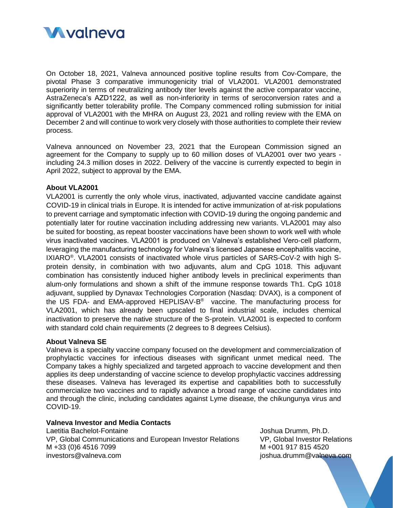

On October 18, 2021, Valneva announced positive topline results from Cov-Compare, the pivotal Phase 3 comparative immunogenicity trial of VLA2001. VLA2001 demonstrated superiority in terms of neutralizing antibody titer levels against the active comparator vaccine, AstraZeneca's AZD1222, as well as non-inferiority in terms of seroconversion rates and a significantly better tolerability profile. The Company commenced rolling submission for initial approval of VLA2001 with the MHRA on August 23, 2021 and rolling review with the EMA on December 2 and will continue to work very closely with those authorities to complete their review process.

Valneva announced on November 23, 2021 that the European Commission signed an agreement for the Company to supply up to 60 million doses of VLA2001 over two years including 24.3 million doses in 2022. Delivery of the vaccine is currently expected to begin in April 2022, subject to approval by the EMA.

# **About VLA2001**

VLA2001 is currently the only whole virus, inactivated, adjuvanted vaccine candidate against COVID-19 in clinical trials in Europe. It is intended for active immunization of at-risk populations to prevent carriage and symptomatic infection with COVID-19 during the ongoing pandemic and potentially later for routine vaccination including addressing new variants. VLA2001 may also be suited for boosting, as repeat booster vaccinations have been shown to work well with whole virus inactivated vaccines. VLA2001 is produced on Valneva's established Vero-cell platform, leveraging the manufacturing technology for Valneva's licensed Japanese encephalitis vaccine, IXIARO® . VLA2001 consists of inactivated whole virus particles of SARS-CoV-2 with high Sprotein density, in combination with two adjuvants, alum and CpG 1018. This adjuvant combination has consistently induced higher antibody levels in preclinical experiments than alum-only formulations and shown a shift of the immune response towards Th1. CpG 1018 adjuvant, supplied by Dynavax Technologies Corporation (Nasdaq: DVAX), is a component of the US FDA- and EMA-approved HEPLISAV-B<sup>®</sup> vaccine. The manufacturing process for VLA2001, which has already been upscaled to final industrial scale, includes chemical inactivation to preserve the native structure of the S-protein. VLA2001 is expected to conform with standard cold chain requirements (2 degrees to 8 degrees Celsius).

#### **About Valneva SE**

Valneva is a specialty vaccine company focused on the development and commercialization of prophylactic vaccines for infectious diseases with significant unmet medical need. The Company takes a highly specialized and targeted approach to vaccine development and then applies its deep understanding of vaccine science to develop prophylactic vaccines addressing these diseases. Valneva has leveraged its expertise and capabilities both to successfully commercialize two vaccines and to rapidly advance a broad range of vaccine candidates into and through the clinic, including candidates against Lyme disease, the chikungunya virus and COVID-19.

## **Valneva Investor and Media Contacts**

Laetitia Bachelot-Fontaine VP, Global Communications and European Investor Relations M +33 (0)6 4516 7099 investors@valneva.com

Joshua Drumm, Ph.D. VP, Global Investor Relations M +001 917 815 4520 joshua.drumm@valneva.com